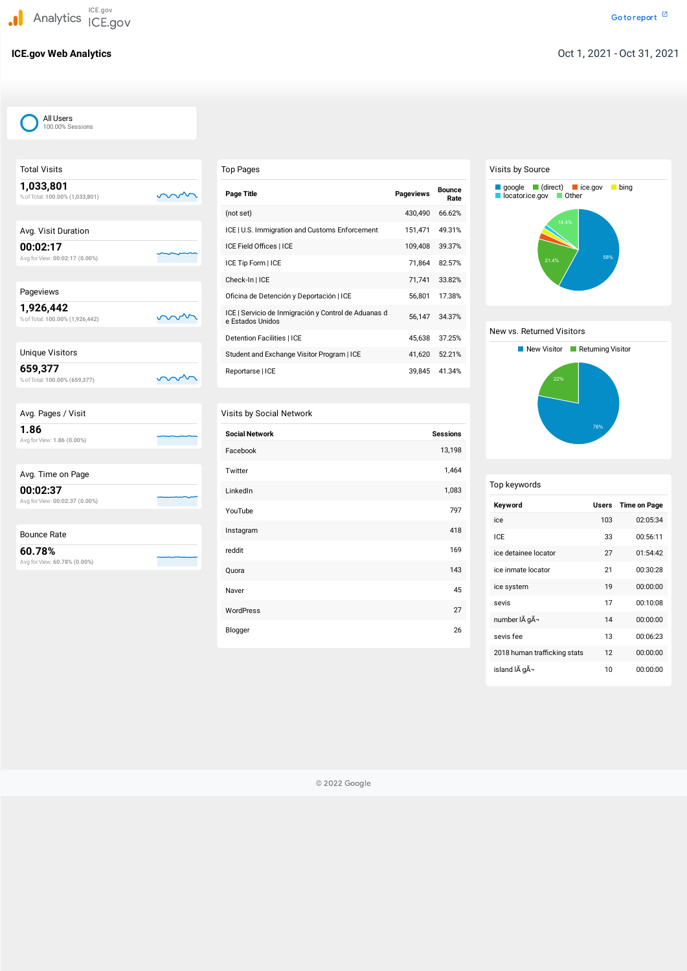J. **Analytics** ICE.gov ICE.gov

mm

m

Total Visits

| 1,033,801<br>% of Total: 100.00% (1,033,801) |  |
|----------------------------------------------|--|
| Avg. Visit Duration                          |  |
| 00:02:17<br>Avg for View: 00:02:17 (0.00%)   |  |

| Pageviews                       |    |
|---------------------------------|----|
| 1,926,442                       |    |
| % of Total: 100.00% (1,926,442) | mm |

# Unique Visitors

**659,377** %ofTotal: **100.00% (659,377)**

|  | Avg. Pages / Visit |
|--|--------------------|
|  |                    |

**1.86** Avg forView: **1.86 (0.00%)**

| Avg. Time on Page |  |  |  |  |
|-------------------|--|--|--|--|
|-------------------|--|--|--|--|

**00:02:37** Avg forView: **00:02:37 (0.00%)**

| <b>Bounce Rate</b> |
|--------------------|
|--------------------|

**60.78%**

Avg forView: **60.78% (0.00%)**

| Top Pages |  |
|-----------|--|
|-----------|--|

| <b>Page Title</b>                                                        | <b>Pageviews</b> | <b>Bounce</b><br>Rate |
|--------------------------------------------------------------------------|------------------|-----------------------|
| (not set)                                                                | 430,490          | 66.62%                |
| ICE   U.S. Immigration and Customs Enforcement                           | 151,471          | 49.31%                |
| ICE Field Offices   ICE                                                  | 109,408          | 39.37%                |
| ICE Tip Form   ICE                                                       | 71,864           | 82.57%                |
| Check-In   ICE                                                           | 71,741           | 33.82%                |
| Oficina de Detención y Deportación   ICE                                 | 56,801           | 17.38%                |
| ICE   Servicio de Inmigración y Control de Aduanas d<br>e Estados Unidos | 56,147           | 34.37%                |
| <b>Detention Facilities   ICE</b>                                        | 45,638           | 37.25%                |
| Student and Exchange Visitor Program   ICE                               | 41,620           | 52.21%                |
| Reportarse   ICE                                                         | 39,845           | 41.34%                |

# Visits by Social Network

| <b>Social Network</b> | <b>Sessions</b> |
|-----------------------|-----------------|
| Facebook              | 13,198          |
| Twitter               | 1,464           |
| LinkedIn              | 1,083           |
| YouTube               | 797             |
| Instagram             | 418             |
| reddit                | 169             |
| Quora                 | 143             |
| Naver                 | 45              |
| WordPress             | 27              |
| Blogger               | 26              |

# Visits by Source

# New vs. Returned Visitors

| Top keywords                 |              |                     |
|------------------------------|--------------|---------------------|
| Keyword                      | <b>Users</b> | <b>Time on Page</b> |
| ice                          | 103          | 02:05:34            |
| ICF                          | 33           | 00:56:11            |
| ice detainee locator         | 27           | 01:54:42            |
| ice inmate locator           | 21           | 00:30:28            |
| ice system                   | 19           | 00:00:00            |
| sevis                        | 17           | 00:10:08            |
| number IÃ gÃ-                | 14           | 00:00:00            |
| sevis fee                    | 13           | 00:06:23            |
| 2018 human trafficking stats | 12           | 00:00:00            |

island I $\tilde{A}$  g $\tilde{A}$ - 10 00:00:00





© 2022 Google

All Users 100.00% Sessions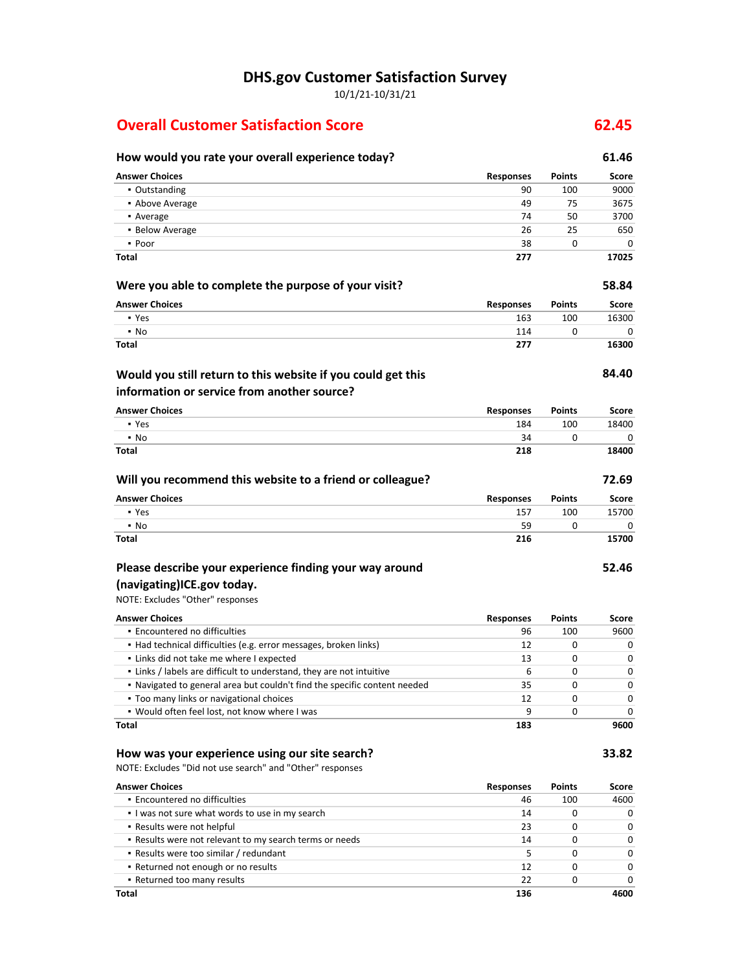**DHS.gov Customer Satisfaction Survey**

10/1/21-10/31/21

## **Overall Customer Satisfaction Score 62.45**

### **How would you rate your overall experience today? 61.46 Answer Choices Responses Points Score** ▪ Outstanding 90 100 9000 ▪ Above Average 49 75 3675 • Average 74 50 3700 ▪ Below Average 26 25 650  $\bullet$  Poor 38 0 0 0 **Total 277 17025 Were you able to complete the purpose of your visit? 58.84 Answer Choices Responses Points Score** • Yes 163 100 16300 16300 16300 16300 16300 16300 16300 16300 16300 16300 16300 16300 16300 16300 16300 16300 1 • No 2020 114 0 0 0 114 0 0 0 114 114 1 0 12 114 1 114 1 0 12 12 12 13 14 14 15 17 17 17 17 17 17 17 17 17 17 1 **Total 277 16300 84.40 Answer Choices Responses Points Score** ▪ Yes 184 100 18400 • No 34 0 0 0 **Would you still return to this website if you could get this information or service from another source?**

| Will you recommend this website to a friend or colleague? |                  |               | 72.69 |
|-----------------------------------------------------------|------------------|---------------|-------|
| <b>Answer Choices</b>                                     | <b>Responses</b> | <b>Points</b> | Score |
| • Yes                                                     | 157              | 100           | 15700 |
| $\cdot$ No                                                | 59               | <sup>0</sup>  |       |
| <b>Total</b>                                              | 216              |               | 15700 |

**Total 218 18400**

### **Please describe your experience finding your way around**

### **(navigating)ICE.gov today.**

NOTE: Excludes "Other" responses

| <b>Answer Choices</b>                                                     | <b>Responses</b> | <b>Points</b> | Score |
|---------------------------------------------------------------------------|------------------|---------------|-------|
| • Encountered no difficulties                                             | 96               | 100           | 9600  |
| • Had technical difficulties (e.g. error messages, broken links)          | 12               |               |       |
| • Links did not take me where I expected                                  | 13               | 0             |       |
| . Links / labels are difficult to understand, they are not intuitive      | ь                | 0             |       |
| . Navigated to general area but couldn't find the specific content needed | 35               | $\Omega$      |       |
| • Too many links or navigational choices                                  | 12               | O             |       |
| . Would often feel lost, not know where I was                             | 9                |               |       |
| Total                                                                     | 183              |               | 9600  |

### **How was your experience using our site search? 33.82**

NOTE: Excludes "Did not use search" and "Other" responses

| <b>Answer Choices</b>                                   | <b>Responses</b> | <b>Points</b> | Score |
|---------------------------------------------------------|------------------|---------------|-------|
| • Encountered no difficulties                           | 46               | 100           | 4600  |
| I was not sure what words to use in my search           | 14               |               |       |
| • Results were not helpful                              | 23               |               | 0     |
| . Results were not relevant to my search terms or needs | 14               |               |       |
| • Results were too similar / redundant                  |                  |               |       |
| • Returned not enough or no results                     | 12               |               |       |
| • Returned too many results                             | 22               |               |       |
| Total                                                   | 136              |               | 4600  |

**52.46**